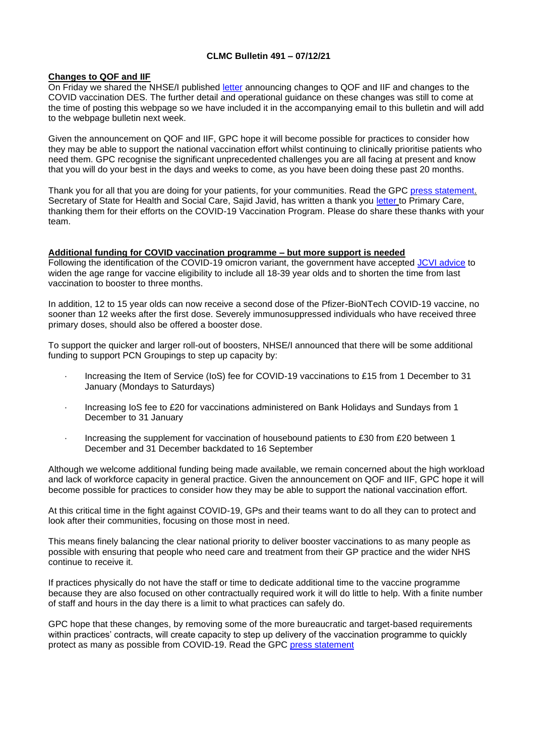### **CLMC Bulletin 491 – 07/12/21**

#### **Changes to QOF and IIF**

On Friday we shared the NHSE/I published [letter](https://www.england.nhs.uk/coronavirus/wp-content/uploads/sites/52/2021/12/C1468-jvci-advice-in-response-to-the-emergence-of-the-b.1.1.529-omicron-variant-next-steps-for-deployment.pdf) announcing changes to QOF and IIF and changes to the COVID vaccination DES. The further detail and operational guidance on these changes was still to come at the time of posting this webpage so we have included it in the accompanying email to this bulletin and will add to the webpage bulletin next week.

Given the announcement on QOF and IIF, GPC hope it will become possible for practices to consider how they may be able to support the national vaccination effort whilst continuing to clinically prioritise patients who need them. GPC recognise the significant unprecedented challenges you are all facing at present and know that you will do your best in the days and weeks to come, as you have been doing these past 20 months.

Thank you for all that you are doing for your patients, for your communities. Read the GPC [press statement.](https://www.bma.org.uk/bma-media-centre/bma-hopes-gp-booster-plan-can-free-up-time-for-staff-to-prioritise-patients-most-in-need) Secretary of State for Health and Social Care, Sajid Javid, has written a thank you [letter](https://www.gov.uk/government/publications/thank-you-to-primary-care-letter-from-secretary-of-state-for-health-and-social-care/thank-you-to-all-primary-care-staff-letter-from-secretary-of-state-for-health-and-social-care-3-december-2021) to Primary Care, thanking them for their efforts on the COVID-19 Vaccination Program. Please do share these thanks with your team.

# **Additional funding for COVID vaccination programme – but more support is needed**

Following the identification of the COVID-19 omicron variant, the government have accepted [JCVI advice](https://www.gov.uk/government/news/all-adults-to-be-offered-covid-19-boosters-by-end-of-january) to widen the age range for vaccine eligibility to include all 18-39 year olds and to shorten the time from last vaccination to booster to three months.

In addition, 12 to 15 year olds can now receive a second dose of the Pfizer-BioNTech COVID-19 vaccine, no sooner than 12 weeks after the first dose. Severely immunosuppressed individuals who have received three primary doses, should also be offered a booster dose.

To support the quicker and larger roll-out of boosters, NHSE/I announced that there will be some additional funding to support PCN Groupings to step up capacity by:

- Increasing the Item of Service (IoS) fee for COVID-19 vaccinations to £15 from 1 December to 31 January (Mondays to Saturdays)
- Increasing IoS fee to £20 for vaccinations administered on Bank Holidays and Sundays from 1 December to 31 January
- Increasing the supplement for vaccination of housebound patients to £30 from £20 between 1 December and 31 December backdated to 16 September

Although we welcome additional funding being made available, we remain concerned about the high workload and lack of workforce capacity in general practice. Given the announcement on QOF and IIF, GPC hope it will become possible for practices to consider how they may be able to support the national vaccination effort.

At this critical time in the fight against COVID-19, GPs and their teams want to do all they can to protect and look after their communities, focusing on those most in need.

This means finely balancing the clear national priority to deliver booster vaccinations to as many people as possible with ensuring that people who need care and treatment from their GP practice and the wider NHS continue to receive it.

If practices physically do not have the staff or time to dedicate additional time to the vaccine programme because they are also focused on other contractually required work it will do little to help. With a finite number of staff and hours in the day there is a limit to what practices can safely do.

GPC hope that these changes, by removing some of the more bureaucratic and target-based requirements within practices' contracts, will create capacity to step up delivery of the vaccination programme to quickly protect as many as possible from COVID-19. Read the GPC [press statement](https://www.bma.org.uk/bma-media-centre/bma-hopes-gp-booster-plan-can-free-up-time-for-staff-to-prioritise-patients-most-in-need)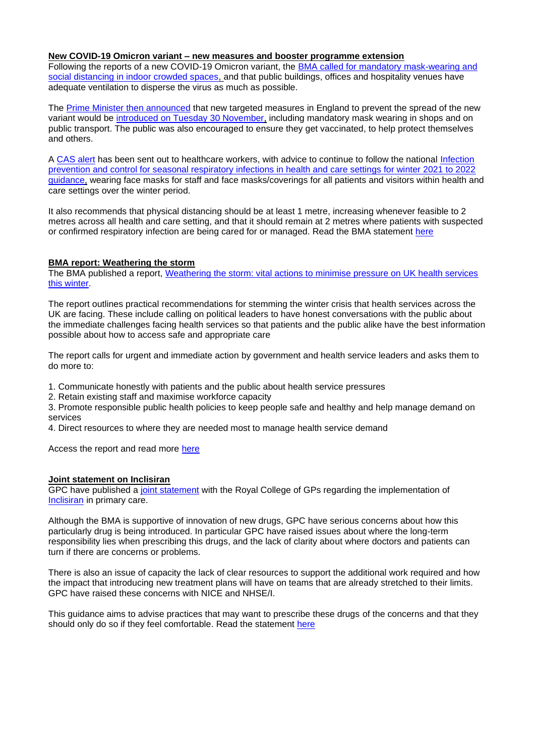#### **New COVID-19 Omicron variant – new measures and booster programme extension**

Following the reports of a new COVID-19 Omicron variant, the BMA called for mandatory mask-wearing and [social distancing in indoor crowded spaces,](https://www.bma.org.uk/bma-media-centre/bma-calls-for-mandatory-mask-wearing-and-social-distancing-amidst-reports-of-a-new-covid-variant) and that public buildings, offices and hospitality venues have adequate ventilation to disperse the virus as much as possible.

The [Prime Minister then announced](https://www.gov.uk/government/speeches/pm-opening-statement-at-covid-19-press-conference-27-november-2021) that new targeted measures in England to prevent the spread of the new variant would be [introduced on Tuesday 30 November,](https://www.gov.uk/government/news/measures-against-omicron-variant-come-into-effect-30-november-2021) including mandatory mask wearing in shops and on public transport. The public was also encouraged to ensure they get vaccinated, to help protect themselves and others.

A [CAS alert](https://www.cas.mhra.gov.uk/ViewandAcknowledgment/ViewAlert.aspx?AlertID=103183) has been sent out to healthcare workers, with advice to continue to follow the national Infection [prevention and control for seasonal respiratory infections in health and care settings for winter 2021 to 2022](https://www.gov.uk/government/publications/wuhan-novel-coronavirus-infection-prevention-and-control/covid-19-guidance-for-maintaining-services-within-health-and-care-settings-infection-prevention-and-control-recommendations)  [guidance,](https://www.gov.uk/government/publications/wuhan-novel-coronavirus-infection-prevention-and-control/covid-19-guidance-for-maintaining-services-within-health-and-care-settings-infection-prevention-and-control-recommendations) wearing face masks for staff and face masks/coverings for all patients and visitors within health and care settings over the winter period.

It also recommends that physical distancing should be at least 1 metre, increasing whenever feasible to 2 metres across all health and care setting, and that it should remain at 2 metres where patients with suspected or confirmed respiratory infection are being cared for or managed. Read the BMA statement [here](https://www.bma.org.uk/bma-media-centre/practices-need-more-time-not-money-to-deliver-booster-campaign-says-bma)

#### **BMA report: Weathering the storm**

The BMA published a report, [Weathering the storm: vital actions to minimise pressure on UK health services](https://www.bma.org.uk/media/4834/bma-weathering-the-storm-report-nov21.pdf)  [this winter.](https://www.bma.org.uk/media/4834/bma-weathering-the-storm-report-nov21.pdf)

The report outlines practical recommendations for stemming the winter crisis that health services across the UK are facing. These include calling on political leaders to have honest conversations with the public about the immediate challenges facing health services so that patients and the public alike have the best information possible about how to access safe and appropriate care

The report calls for urgent and immediate action by government and health service leaders and asks them to do more to:

1. Communicate honestly with patients and the public about health service pressures

2. Retain existing staff and maximise workforce capacity

3. Promote responsible public health policies to keep people safe and healthy and help manage demand on services

4. Direct resources to where they are needed most to manage health service demand

Access the report and read more [here](https://www.bma.org.uk/advice-and-support/nhs-delivery-and-workforce/pressures/vital-actions-to-minimise-pressure-on-the-nhs-this-winter)

#### **Joint statement on Inclisiran**

GPC have published a [joint statement](https://i.emlfiles4.com/cmpdoc/3/7/7/5/2/files/865466_inclisiran-statement-rcgp-bma-badged-dec-2021.pdf?utm_source=The%20British%20Medical%20Association&utm_medium=email&utm_campaign=12841148_GP%20ENEWSLETTER%2002122021&dm_t=0,0,0,0,0) with the Royal College of GPs regarding the implementation of [Inclisiran](https://www.nice.org.uk/guidance/ta733/documents/html-content-2) in primary care.

Although the BMA is supportive of innovation of new drugs, GPC have serious concerns about how this particularly drug is being introduced. In particular GPC have raised issues about where the long-term responsibility lies when prescribing this drugs, and the lack of clarity about where doctors and patients can turn if there are concerns or problems.

There is also an issue of capacity the lack of clear resources to support the additional work required and how the impact that introducing new treatment plans will have on teams that are already stretched to their limits. GPC have raised these concerns with NICE and NHSE/I.

This guidance aims to advise practices that may want to prescribe these drugs of the concerns and that they should only do so if they feel comfortable. Read the statement [here](applewebdata://28C6BE53-728D-4E52-8D27-435A0C958EAE/Joint%20statement%20on%20Inclisiran)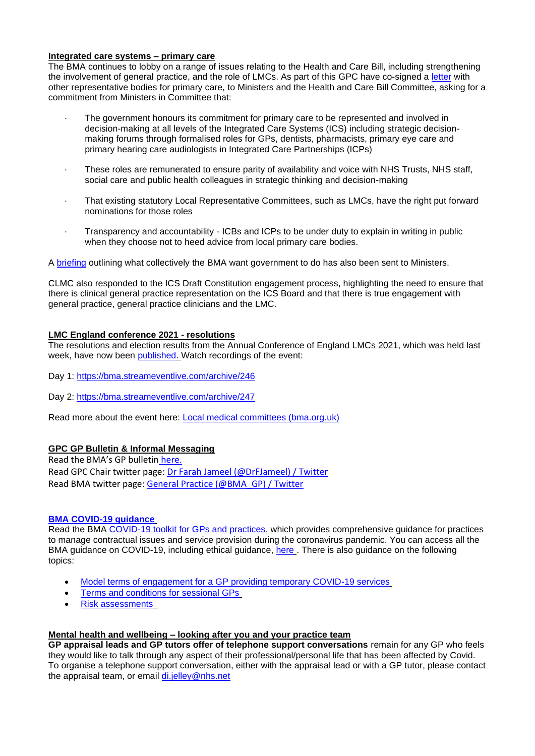#### **Integrated care systems – primary care**

The BMA continues to lobby on a range of issues relating to the Health and Care Bill, including strengthening the involvement of general practice, and the role of LMCs. As part of this GPC have co-signed a [letter](https://i.emlfiles4.com/cmpdoc/3/7/7/5/2/files/839633_health-and-care-bill-committee-letter---final.pdf?utm_source=The%20British%20Medical%20Association&utm_medium=email&utm_campaign=12645090_GP%20ENEWSLETTER%20090921&dm_t=0,0,0,0,0) with other representative bodies for primary care, to Ministers and the Health and Care Bill Committee, asking for a commitment from Ministers in Committee that:

- The government honours its commitment for primary care to be represented and involved in decision-making at all levels of the Integrated Care Systems (ICS) including strategic decisionmaking forums through formalised roles for GPs, dentists, pharmacists, primary eye care and primary hearing care audiologists in Integrated Care Partnerships (ICPs)
- These roles are remunerated to ensure parity of availability and voice with NHS Trusts, NHS staff, social care and public health colleagues in strategic thinking and decision-making
- That existing statutory Local Representative Committees, such as LMCs, have the right put forward nominations for those roles
- · Transparency and accountability ICBs and ICPs to be under duty to explain in writing in public when they choose not to heed advice from local primary care bodies.

A [briefing](https://i.emlfiles4.com/cmpdoc/3/7/7/5/2/files/839634_health-and-care-bill---primary-care-key-asks-final-06.09.21.pdf?utm_source=The%20British%20Medical%20Association&utm_medium=email&utm_campaign=12645090_GP%20ENEWSLETTER%20090921&dm_t=0,0,0,0,0) outlining what collectively the BMA want government to do has also been sent to Ministers.

CLMC also responded to the ICS Draft Constitution engagement process, highlighting the need to ensure that there is clinical general practice representation on the ICS Board and that there is true engagement with general practice, general practice clinicians and the LMC.

## **LMC England conference 2021 - resolutions**

The resolutions and election results from the Annual Conference of England LMCs 2021, which was held last week, have now been [published.](https://www.bma.org.uk/media/4846/bma-england-lmc-conference-resolutions-and-elections-nov-2021.pdf) Watch recordings of the event:

- Day 1:<https://bma.streameventlive.com/archive/246>
- Day 2:<https://bma.streameventlive.com/archive/247>

Read more about the event here: [Local medical committees \(bma.org.uk\)](https://www.bma.org.uk/what-we-do/local-medical-committees)

## **GPC GP Bulletin & Informal Messaging**

Read the BMA's GP bulletin [here.](https://bma-mail.org.uk/t/JVX-7N8AK-EC5E0CEA0D8A5317JCJOU4BA186991484320BE/cr.aspx) Read GPC Chair twitter page: [Dr Farah Jameel \(@DrFJameel\) / Twitter](https://twitter.com/DrFJameel) Read BMA twitter page: [General Practice \(@BMA\\_GP\) / Twitter](https://twitter.com/BMA_GP)

# **[BMA COVID-19 guidance](https://www.bma.org.uk/advice-and-support/covid-19)**

Read the BMA [COVID-19 toolkit for GPs and practices,](https://www.bma.org.uk/advice-and-support/covid-19/practical-guidance/covid-19-toolkit-for-gps-and-gp-practices) which provides comprehensive guidance for practices to manage contractual issues and service provision during the coronavirus pandemic. You can access all the BMA guidance on COVID-19, including ethical guidance, [here](https://www.bma.org.uk/advice-and-support/covid-19) . There is also guidance on the following topics:

- [Model terms of engagement for a GP providing temporary COVID-19](https://www.bma.org.uk/advice-and-support/covid-19/your-contract/covid-19-model-terms-for-gps) services
- [Terms and conditions for sessional GPs](https://www.bma.org.uk/advice-and-support/covid-19/your-contract/covid-19-your-terms-and-conditions/your-terms-and-conditions-sessional-gps)
- [Risk assessments](https://www.bma.org.uk/advice-and-support/covid-19/your-health/covid-19-risk-assessment)

## **Mental health and wellbeing – looking after you and your practice team**

**GP appraisal leads and GP tutors offer of telephone support conversations** remain for any GP who feels they would like to talk through any aspect of their professional/personal life that has been affected by Covid. To organise a telephone support conversation, either with the appraisal lead or with a GP tutor, please contact the appraisal team, or email [di.jelley@nhs.net](mailto:di.jelley@nhs.net)